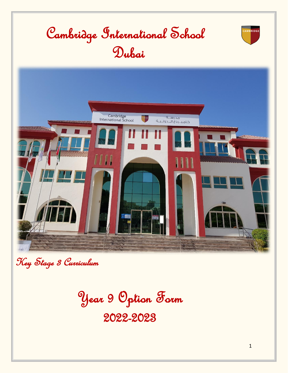

Key Stage 3 Curriculum

Year 9 Option Form

2022-2023